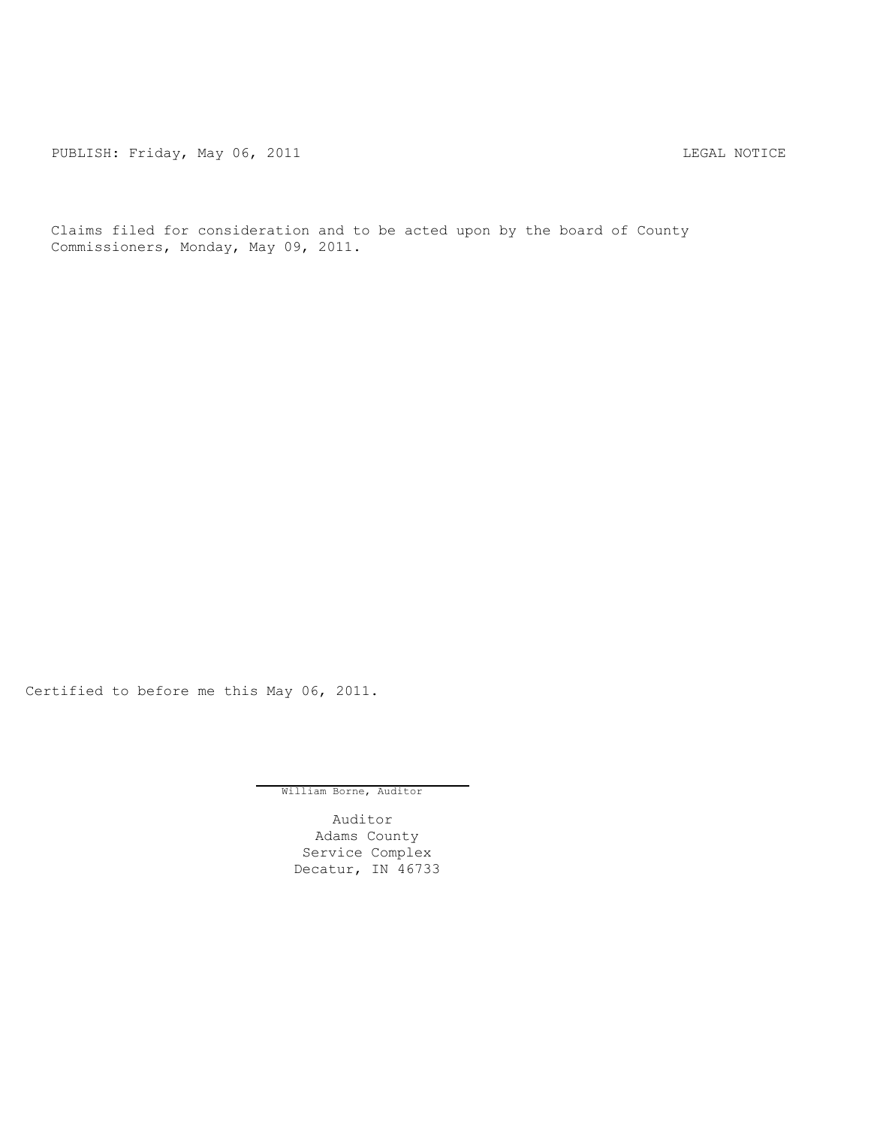PUBLISH: Friday, May 06, 2011 **LEGAL MOTICE** 

Claims filed for consideration and to be acted upon by the board of County Commissioners, Monday, May 09, 2011.

Certified to before me this May 06, 2011.

William Borne, Auditor

Auditor Adams County Service Complex Decatur, IN 46733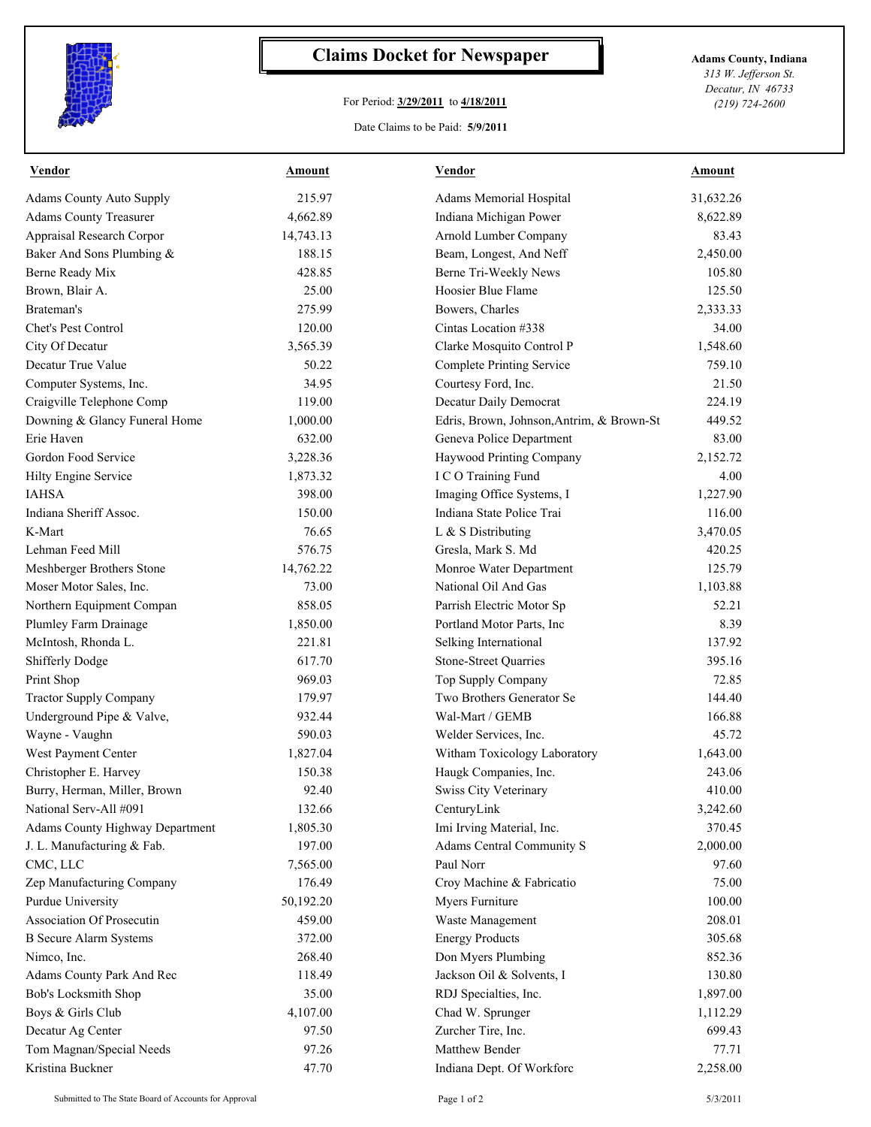

## **Claims Docket for Newspaper Adams County, Indiana**

## For Period: **3/29/2011** to **4/18/2011**

*313 W. Jefferson St. Decatur, IN 46733 (219) 724-2600*

## Date Claims to be Paid: **5/9/2011**

| <b>Vendor</b>                   | Amount    | Vendor                                    | <b>Amount</b> |
|---------------------------------|-----------|-------------------------------------------|---------------|
| <b>Adams County Auto Supply</b> | 215.97    | Adams Memorial Hospital                   | 31,632.26     |
| <b>Adams County Treasurer</b>   | 4,662.89  | Indiana Michigan Power                    | 8,622.89      |
| Appraisal Research Corpor       | 14,743.13 | Arnold Lumber Company                     | 83.43         |
| Baker And Sons Plumbing &       | 188.15    | Beam, Longest, And Neff                   | 2,450.00      |
| Berne Ready Mix                 | 428.85    | Berne Tri-Weekly News                     | 105.80        |
| Brown, Blair A.                 | 25.00     | Hoosier Blue Flame                        | 125.50        |
| Brateman's                      | 275.99    | Bowers, Charles                           | 2,333.33      |
| Chet's Pest Control             | 120.00    | Cintas Location #338                      | 34.00         |
| City Of Decatur                 | 3,565.39  | Clarke Mosquito Control P                 | 1,548.60      |
| Decatur True Value              | 50.22     | <b>Complete Printing Service</b>          | 759.10        |
| Computer Systems, Inc.          | 34.95     | Courtesy Ford, Inc.                       | 21.50         |
| Craigville Telephone Comp       | 119.00    | Decatur Daily Democrat                    | 224.19        |
| Downing & Glancy Funeral Home   | 1,000.00  | Edris, Brown, Johnson, Antrim, & Brown-St | 449.52        |
| Erie Haven                      | 632.00    | Geneva Police Department                  | 83.00         |
| Gordon Food Service             | 3,228.36  | Haywood Printing Company                  | 2,152.72      |
| Hilty Engine Service            | 1,873.32  | I C O Training Fund                       | 4.00          |
| <b>IAHSA</b>                    | 398.00    | Imaging Office Systems, I                 | 1,227.90      |
| Indiana Sheriff Assoc.          | 150.00    | Indiana State Police Trai                 | 116.00        |
| K-Mart                          | 76.65     | L & S Distributing                        | 3,470.05      |
| Lehman Feed Mill                | 576.75    | Gresla, Mark S. Md                        | 420.25        |
| Meshberger Brothers Stone       | 14,762.22 | Monroe Water Department                   | 125.79        |
| Moser Motor Sales, Inc.         | 73.00     | National Oil And Gas                      | 1,103.88      |
| Northern Equipment Compan       | 858.05    | Parrish Electric Motor Sp                 | 52.21         |
| Plumley Farm Drainage           | 1,850.00  | Portland Motor Parts, Inc                 | 8.39          |
| McIntosh, Rhonda L.             | 221.81    | Selking International                     | 137.92        |
| <b>Shifferly Dodge</b>          | 617.70    | <b>Stone-Street Quarries</b>              | 395.16        |
| Print Shop                      | 969.03    | Top Supply Company                        | 72.85         |
| <b>Tractor Supply Company</b>   | 179.97    | Two Brothers Generator Se                 | 144.40        |
| Underground Pipe & Valve,       | 932.44    | Wal-Mart / GEMB                           | 166.88        |
| Wayne - Vaughn                  | 590.03    | Welder Services, Inc.                     | 45.72         |
| West Payment Center             | 1,827.04  | Witham Toxicology Laboratory              | 1,643.00      |
| Christopher E. Harvey           | 150.38    | Haugk Companies, Inc.                     | 243.06        |
| Burry, Herman, Miller, Brown    | 92.40     | <b>Swiss City Veterinary</b>              | 410.00        |
| National Serv-All #091          | 132.66    | CenturyLink                               | 3,242.60      |
| Adams County Highway Department | 1,805.30  | Imi Irving Material, Inc.                 | 370.45        |
| J. L. Manufacturing & Fab.      | 197.00    | Adams Central Community S                 | 2,000.00      |
| CMC, LLC                        | 7,565.00  | Paul Norr                                 | 97.60         |
| Zep Manufacturing Company       | 176.49    | Croy Machine & Fabricatio                 | 75.00         |
| Purdue University               | 50,192.20 | Myers Furniture                           | 100.00        |
| Association Of Prosecutin       | 459.00    | Waste Management                          | 208.01        |
| <b>B</b> Secure Alarm Systems   | 372.00    | <b>Energy Products</b>                    | 305.68        |
| Nimeo, Inc.                     | 268.40    | Don Myers Plumbing                        | 852.36        |
| Adams County Park And Rec       | 118.49    | Jackson Oil & Solvents, I                 | 130.80        |
| Bob's Locksmith Shop            | 35.00     | RDJ Specialties, Inc.                     | 1,897.00      |
| Boys & Girls Club               | 4,107.00  | Chad W. Sprunger                          | 1,112.29      |
| Decatur Ag Center               | 97.50     | Zurcher Tire, Inc.                        | 699.43        |
| Tom Magnan/Special Needs        | 97.26     | Matthew Bender                            | 77.71         |
| Kristina Buckner                | 47.70     | Indiana Dept. Of Workforc                 | 2,258.00      |